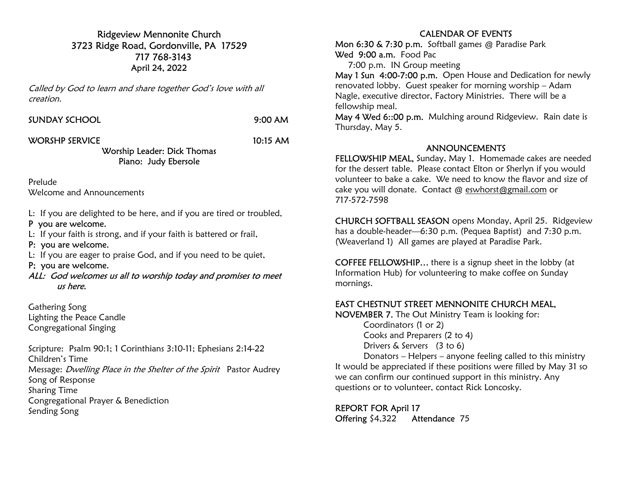Ridgeview Mennonite Church 3723 Ridge Road, Gordonville, PA 17529 717 768-3143 April 24, 2022

Called by God to learn and share together God's love with all creation.

|  |  | SUNDAY SCHOOL |  |
|--|--|---------------|--|
|  |  |               |  |

 $9:00$  AM

#### WORSHP SERVICE 10:15 AM

#### Worship Leader: Dick Thomas Piano: Judy Ebersole

Prelude Welcome and Announcements

L: If you are delighted to be here, and if you are tired or troubled,

### P you are welcome.

L: If your faith is strong, and if your faith is battered or frail,

P: you are welcome.

L: If you are eager to praise God, and if you need to be quiet,

## P; you are welcome.

ALL: God welcomes us all to worship today and promises to meet us here.

Gathering Song Lighting the Peace Candle Congregational Singing

Scripture: Psalm 90:1; 1 Corinthians 3:10-11; Ephesians 2:14-22 Children's Time Message: *Dwelling Place in the Shelter of the Spirit* Pastor Audrey Song of Response Sharing Time Congregational Prayer & Benediction Sending Song

## CALENDAR OF EVENTS

Mon 6:30 & 7:30 p.m. Softball games @ Paradise Park Wed 9:00 a.m. Food Pac

7:00 p.m. IN Group meeting

May 1 Sun 4:00-7:00 p.m. Open House and Dedication for newly renovated lobby. Guest speaker for morning worship – Adam Nagle, executive director, Factory Ministries. There will be a fellowship meal.

May 4 Wed 6::00 p.m. Mulching around Ridgeview. Rain date is Thursday, May 5.

#### ANNOUNCEMENTS

FELLOWSHIP MEAL, Sunday, May 1. Homemade cakes are needed for the dessert table. Please contact Elton or Sherlyn if you would volunteer to bake a cake. We need to know the flavor and size of cake you will donate. Contact @ eswhorst@gmail.com or 717-572-7598

CHURCH SOFTBALL SEASON opens Monday, April 25. Ridgeview has a double-header—6:30 p.m. (Pequea Baptist) and 7:30 p.m. (Weaverland 1) All games are played at Paradise Park.

COFFEE FELLOWSHIP… there is a signup sheet in the lobby (at Information Hub) for volunteering to make coffee on Sunday mornings.

# EAST CHESTNUT STREET MENNONITE CHURCH MEAL,

NOVEMBER 7. The Out Ministry Team is looking for:

 Coordinators (1 or 2) Cooks and Preparers (2 to 4) Drivers & Servers (3 to 6)

 Donators – Helpers – anyone feeling called to this ministry It would be appreciated if these positions were filled by May 31 so we can confirm our continued support in this ministry. Any questions or to volunteer, contact Rick Loncosky.

REPORT FOR April 17 Offering \$4,322 Attendance 75